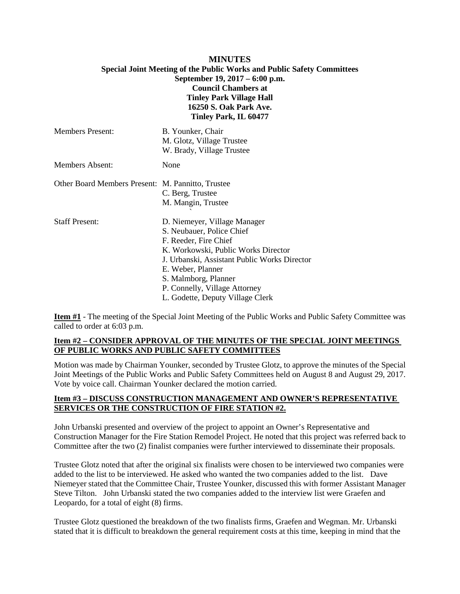#### **MINUTES Special Joint Meeting of the Public Works and Public Safety Committees**

# **September 19, 2017 – 6:00 p.m. Council Chambers at Tinley Park Village Hall 16250 S. Oak Park Ave. Tinley Park, IL 60477**

| <b>Members Present:</b>                           | B. Younker, Chair<br>M. Glotz, Village Trustee<br>W. Brady, Village Trustee                                                                                                                                                                                                                 |
|---------------------------------------------------|---------------------------------------------------------------------------------------------------------------------------------------------------------------------------------------------------------------------------------------------------------------------------------------------|
| Members Absent:                                   | None                                                                                                                                                                                                                                                                                        |
| Other Board Members Present: M. Pannitto, Trustee | C. Berg, Trustee<br>M. Mangin, Trustee                                                                                                                                                                                                                                                      |
| <b>Staff Present:</b>                             | D. Niemeyer, Village Manager<br>S. Neubauer, Police Chief<br>F. Reeder, Fire Chief<br>K. Workowski, Public Works Director<br>J. Urbanski, Assistant Public Works Director<br>E. Weber, Planner<br>S. Malmborg, Planner<br>P. Connelly, Village Attorney<br>L. Godette, Deputy Village Clerk |

**Item #1** - The meeting of the Special Joint Meeting of the Public Works and Public Safety Committee was called to order at 6:03 p.m.

## **Item #2 – CONSIDER APPROVAL OF THE MINUTES OF THE SPECIAL JOINT MEETINGS OF PUBLIC WORKS AND PUBLIC SAFETY COMMITTEES**

Motion was made by Chairman Younker, seconded by Trustee Glotz, to approve the minutes of the Special Joint Meetings of the Public Works and Public Safety Committees held on August 8 and August 29, 2017. Vote by voice call. Chairman Younker declared the motion carried.

## **Item #3 – DISCUSS CONSTRUCTION MANAGEMENT AND OWNER'S REPRESENTATIVE SERVICES OR THE CONSTRUCTION OF FIRE STATION #2.**

John Urbanski presented and overview of the project to appoint an Owner's Representative and Construction Manager for the Fire Station Remodel Project. He noted that this project was referred back to Committee after the two (2) finalist companies were further interviewed to disseminate their proposals.

Trustee Glotz noted that after the original six finalists were chosen to be interviewed two companies were added to the list to be interviewed. He asked who wanted the two companies added to the list. Dave Niemeyer stated that the Committee Chair, Trustee Younker, discussed this with former Assistant Manager Steve Tilton. John Urbanski stated the two companies added to the interview list were Graefen and Leopardo, for a total of eight (8) firms.

Trustee Glotz questioned the breakdown of the two finalists firms, Graefen and Wegman. Mr. Urbanski stated that it is difficult to breakdown the general requirement costs at this time, keeping in mind that the